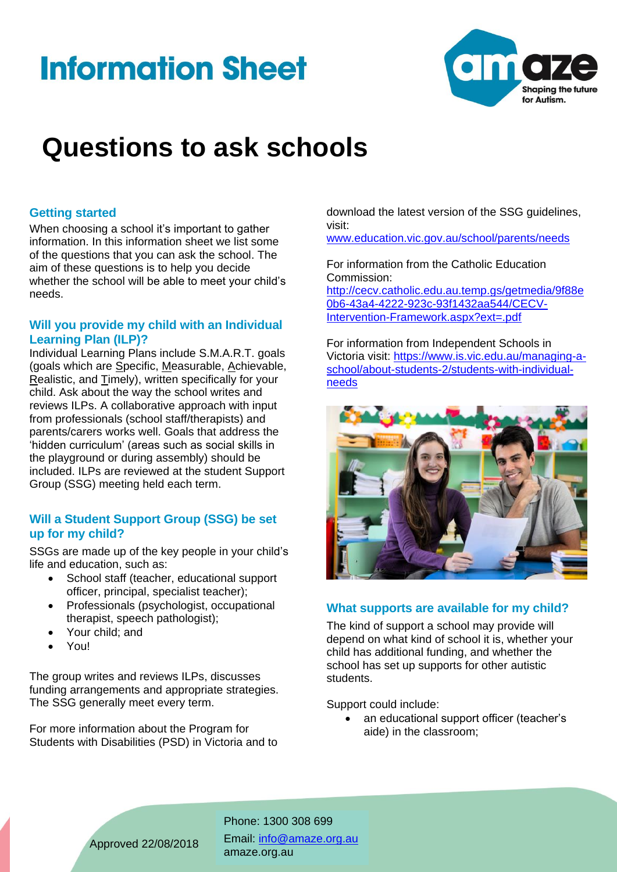# **Information Sheet**



## **Questions to ask schools**

#### **Getting started**

When choosing a school it's important to gather information. In this information sheet we list some of the questions that you can ask the school. The aim of these questions is to help you decide whether the school will be able to meet your child's needs.

#### **Will you provide my child with an Individual Learning Plan (ILP)?**

Individual Learning Plans include S.M.A.R.T. goals (goals which are Specific, Measurable, Achievable, Realistic, and Timely), written specifically for your child. Ask about the way the school writes and reviews ILPs. A collaborative approach with input from professionals (school staff/therapists) and parents/carers works well. Goals that address the 'hidden curriculum' (areas such as social skills in the playground or during assembly) should be included. ILPs are reviewed at the student Support Group (SSG) meeting held each term.

#### **Will a Student Support Group (SSG) be set up for my child?**

SSGs are made up of the key people in your child's life and education, such as:

- School staff (teacher, educational support officer, principal, specialist teacher);
- Professionals (psychologist, occupational therapist, speech pathologist);
- Your child; and
- You!

The group writes and reviews ILPs, discusses funding arrangements and appropriate strategies. The SSG generally meet every term.

For more information about the Program for Students with Disabilities (PSD) in Victoria and to

download the latest version of the SSG guidelines, visit:

[www.education.vic.gov.au/school/parents/needs](http://www.education.vic.gov.au/school/parents/needs)

For information from the Catholic Education Commission:

[http://cecv.catholic.edu.au.temp.gs/getmedia/9f88e](http://cecv.catholic.edu.au.temp.gs/getmedia/9f88e0b6-43a4-4222-923c-93f1432aa544/CECV-Intervention-Framework.aspx?ext=.pdf) [0b6-43a4-4222-923c-93f1432aa544/CECV-](http://cecv.catholic.edu.au.temp.gs/getmedia/9f88e0b6-43a4-4222-923c-93f1432aa544/CECV-Intervention-Framework.aspx?ext=.pdf)[Intervention-Framework.aspx?ext=.pdf](http://cecv.catholic.edu.au.temp.gs/getmedia/9f88e0b6-43a4-4222-923c-93f1432aa544/CECV-Intervention-Framework.aspx?ext=.pdf)

For information from Independent Schools in Victoria visit: [https://www.is.vic.edu.au/managing-a](https://www.is.vic.edu.au/managing-a-school/about-students-2/students-with-individual-needs)[school/about-students-2/students-with-individual](https://www.is.vic.edu.au/managing-a-school/about-students-2/students-with-individual-needs)[needs](https://www.is.vic.edu.au/managing-a-school/about-students-2/students-with-individual-needs)



### **What supports are available for my child?**

The kind of support a school may provide will depend on what kind of school it is, whether your child has additional funding, and whether the school has set up supports for other autistic students.

Support could include:

• an educational support officer (teacher's aide) in the classroom;

Phone: 1300 308 699 Email: [info@amaze.org.au](mailto:info@amaze.org.au)  amaze.org.au

Approved 22/08/2018